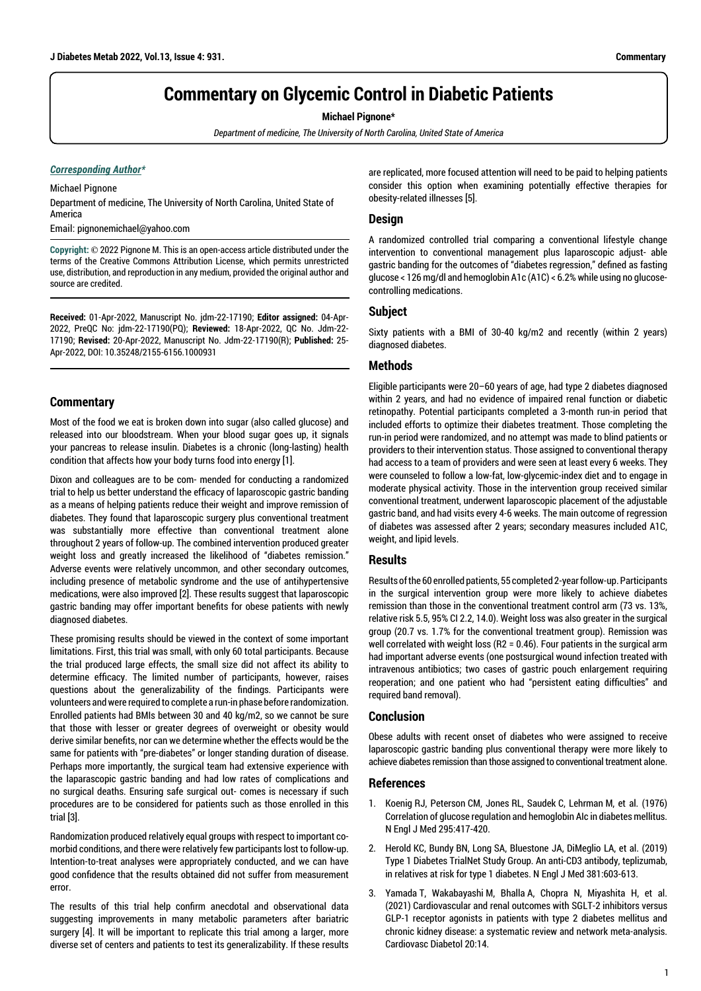# **Commentary on Glycemic Control in Diabetic Patients**

**Michael Pignone\***

*Department of medicine, The University of North Carolina, United State of America*

#### *Corresponding Author\**

Michael Pignone Department of medicine, The University of North Carolina, United State of America

Email: pignonemichael@yahoo.com

**Copyright: ©** 2022 Pignone M. This is an open-access article distributed under the terms of the Creative Commons Attribution License, which permits unrestricted use, distribution, and reproduction in any medium, provided the original author and source are credited.

**Received:** 01-Apr-2022, Manuscript No. jdm-22-17190; **Editor assigned:** 04-Apr-2022, PreQC No: jdm-22-17190(PQ); **Reviewed:** 18-Apr-2022, QC No. Jdm-22- 17190; **Revised:** 20-Apr-2022, Manuscript No. Jdm-22-17190(R); **Published:** 25- Apr-2022, DOI: 10.35248/2155-6156.1000931

# **Commentary**

Most of the food we eat is broken down into sugar (also called glucose) and released into our bloodstream. When your blood sugar goes up, it signals your pancreas to release insulin. Diabetes is a chronic (long-lasting) health condition that affects how your body turns food into energy [1].

Dixon and colleagues are to be com- mended for conducting a randomized trial to help us better understand the efficacy of laparoscopic gastric banding as a means of helping patients reduce their weight and improve remission of diabetes. They found that laparoscopic surgery plus conventional treatment was substantially more effective than conventional treatment alone throughout 2 years of follow-up. The combined intervention produced greater weight loss and greatly increased the likelihood of "diabetes remission." Adverse events were relatively uncommon, and other secondary outcomes, including presence of metabolic syndrome and the use of antihypertensive medications, were also improved [2]. These results suggest that laparoscopic gastric banding may offer important benefits for obese patients with newly diagnosed diabetes.

These promising results should be viewed in the context of some important limitations. First, this trial was small, with only 60 total participants. Because the trial produced large effects, the small size did not affect its ability to determine efficacy. The limited number of participants, however, raises questions about the generalizability of the findings. Participants were volunteers and were required to complete a run-in phase before randomization. Enrolled patients had BMIs between 30 and 40 kg/m2, so we cannot be sure that those with lesser or greater degrees of overweight or obesity would derive similar benefits, nor can we determine whether the effects would be the same for patients with "pre-diabetes" or longer standing duration of disease. Perhaps more importantly, the surgical team had extensive experience with the laparascopic gastric banding and had low rates of complications and no surgical deaths. Ensuring safe surgical out- comes is necessary if such procedures are to be considered for patients such as those enrolled in this trial [3].

Randomization produced relatively equal groups with respect to important comorbid conditions, and there were relatively few participants lost to follow-up. Intention-to-treat analyses were appropriately conducted, and we can have good confidence that the results obtained did not suffer from measurement error.

The results of this trial help confirm anecdotal and observational data suggesting improvements in many metabolic parameters after bariatric surgery [4]. It will be important to replicate this trial among a larger, more diverse set of centers and patients to test its generalizability. If these results are replicated, more focused attention will need to be paid to helping patients consider this option when examining potentially effective therapies for obesity-related illnesses [5].

## **Design**

A randomized controlled trial comparing a conventional lifestyle change intervention to conventional management plus laparoscopic adjust- able gastric banding for the outcomes of "diabetes regression," defined as fasting glucose < 126 mg/dl and hemoglobin A1c (A1C) < 6.2% while using no glucosecontrolling medications.

#### **Subject**

Sixty patients with a BMI of 30-40 kg/m2 and recently (within 2 years) diagnosed diabetes.

#### **Methods**

Eligible participants were 20–60 years of age, had type 2 diabetes diagnosed within 2 years, and had no evidence of impaired renal function or diabetic retinopathy. Potential participants completed a 3-month run-in period that included efforts to optimize their diabetes treatment. Those completing the run-in period were randomized, and no attempt was made to blind patients or providers to their intervention status. Those assigned to conventional therapy had access to a team of providers and were seen at least every 6 weeks. They were counseled to follow a low-fat, low-glycemic-index diet and to engage in moderate physical activity. Those in the intervention group received similar conventional treatment, underwent laparoscopic placement of the adjustable gastric band, and had visits every 4-6 weeks. The main outcome of regression of diabetes was assessed after 2 years; secondary measures included A1C, weight, and lipid levels.

## **Results**

Results of the 60 enrolled patients, 55 completed 2-year follow-up. Participants in the surgical intervention group were more likely to achieve diabetes remission than those in the conventional treatment control arm (73 vs. 13%, relative risk 5.5, 95% CI 2.2, 14.0). Weight loss was also greater in the surgical group (20.7 vs. 1.7% for the conventional treatment group). Remission was well correlated with weight loss (R2 = 0.46). Four patients in the surgical arm had important adverse events (one postsurgical wound infection treated with intravenous antibiotics; two cases of gastric pouch enlargement requiring reoperation; and one patient who had "persistent eating difficulties" and required band removal).

## **Conclusion**

Obese adults with recent onset of diabetes who were assigned to receive laparoscopic gastric banding plus conventional therapy were more likely to achieve diabetes remission than those assigned to conventional treatment alone.

#### **References**

- 1. Koenig RJ, Peterson CM, Jones RL, Saudek C, Lehrman M, et al. (1976) [Correlation of glucose regulation and hemoglobin AIc in diabetes mellitus.](https://www.nejm.org/doi/10.1056/NEJM197608192950804?url_ver=Z39.88-2003&rfr_id=ori:rid:crossref.org&rfr_dat=cr_pub  0pubmed) N Engl J Med 295:417-420.
- 2. Herold KC, Bundy BN, Long SA, Bluestone JA, DiMeglio LA, et al. (2019) [Type 1 Diabetes TrialNet Study Group. An anti-CD3 antibody, teplizumab,](https://www.nejm.org/doi/10.1056/NEJMoa1902226?url_ver=Z39.88-2003&rfr_id=ori:rid:crossref.org&rfr_dat=cr_pub  0pubmed)  [in relatives at risk for type 1 diabetes](https://www.nejm.org/doi/10.1056/NEJMoa1902226?url_ver=Z39.88-2003&rfr_id=ori:rid:crossref.org&rfr_dat=cr_pub  0pubmed). N Engl J Med 381:603-613.
- 3. Yamada T, Wakabayashi M, Bhalla A, Chopra N, Miyashita H, et al. (2021) [Cardiovascular and renal outcomes with SGLT-2 inhibitors versus](https://cardiab.biomedcentral.com/articles/10.1186/s12933-020-01197-z)  [GLP-1 receptor agonists in patients with type 2 diabetes mellitus and](https://cardiab.biomedcentral.com/articles/10.1186/s12933-020-01197-z)  [chronic kidney disease: a systematic review and network meta-analysis.](https://cardiab.biomedcentral.com/articles/10.1186/s12933-020-01197-z) Cardiovasc Diabetol 20:14.